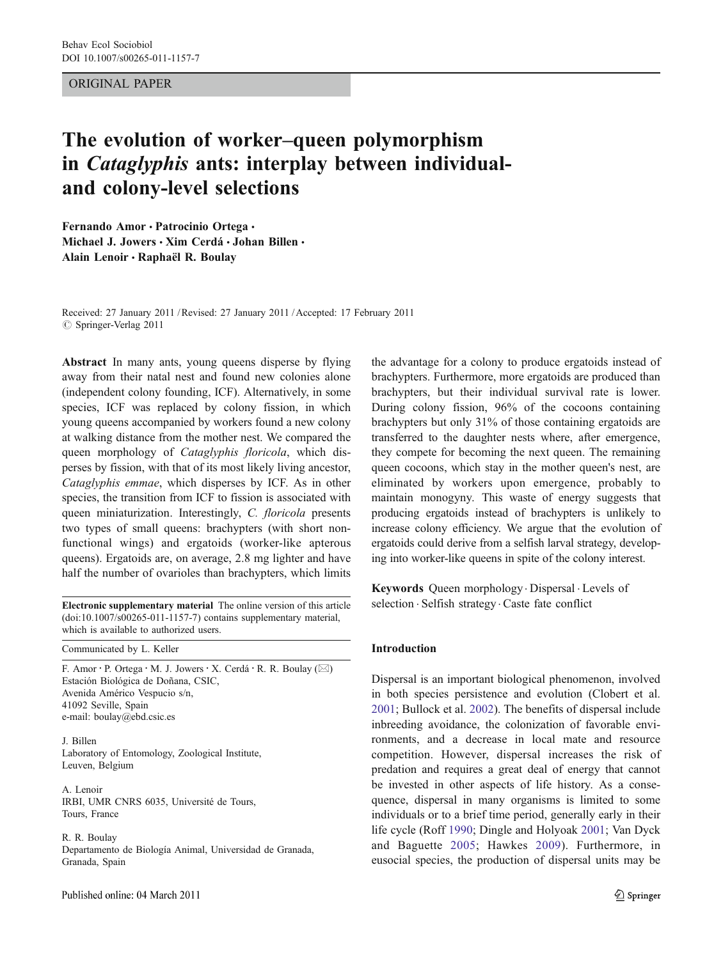## ORIGINAL PAPER

# The evolution of worker–queen polymorphism in Cataglyphis ants: interplay between individualand colony-level selections

Fernando Amor · Patrocinio Ortega · Michael J. Jowers · Xim Cerdá · Johan Billen · Alain Lenoir · Raphaël R. Boulay

Received: 27 January 2011 /Revised: 27 January 2011 /Accepted: 17 February 2011 © Springer-Verlag 2011

Abstract In many ants, young queens disperse by flying away from their natal nest and found new colonies alone (independent colony founding, ICF). Alternatively, in some species, ICF was replaced by colony fission, in which young queens accompanied by workers found a new colony at walking distance from the mother nest. We compared the queen morphology of Cataglyphis floricola, which disperses by fission, with that of its most likely living ancestor, Cataglyphis emmae, which disperses by ICF. As in other species, the transition from ICF to fission is associated with queen miniaturization. Interestingly, C. floricola presents two types of small queens: brachypters (with short nonfunctional wings) and ergatoids (worker-like apterous queens). Ergatoids are, on average, 2.8 mg lighter and have half the number of ovarioles than brachypters, which limits

Electronic supplementary material The online version of this article (doi:[10.1007/s00265-011-1157-7\)](http://dx.doi.org/10.1007/s00265-011-1157-7) contains supplementary material, which is available to authorized users.

Communicated by L. Keller

F. Amor · P. Ortega · M. J. Jowers · X. Cerdá · R. R. Boulay ( $\boxtimes$ ) Estación Biológica de Doñana, CSIC, Avenida Américo Vespucio s/n, 41092 Seville, Spain e-mail: boulay@ebd.csic.es

J. Billen Laboratory of Entomology, Zoological Institute, Leuven, Belgium

A. Lenoir IRBI, UMR CNRS 6035, Université de Tours, Tours, France

R. R. Boulay Departamento de Biología Animal, Universidad de Granada, Granada, Spain

the advantage for a colony to produce ergatoids instead of brachypters. Furthermore, more ergatoids are produced than brachypters, but their individual survival rate is lower. During colony fission, 96% of the cocoons containing brachypters but only 31% of those containing ergatoids are transferred to the daughter nests where, after emergence, they compete for becoming the next queen. The remaining queen cocoons, which stay in the mother queen's nest, are eliminated by workers upon emergence, probably to maintain monogyny. This waste of energy suggests that producing ergatoids instead of brachypters is unlikely to increase colony efficiency. We argue that the evolution of ergatoids could derive from a selfish larval strategy, developing into worker-like queens in spite of the colony interest.

Keywords Queen morphology. Dispersal . Levels of selection . Selfish strategy . Caste fate conflict

### Introduction

Dispersal is an important biological phenomenon, involved in both species persistence and evolution (Clobert et al. [2001](#page-8-0); Bullock et al. [2002\)](#page-8-0). The benefits of dispersal include inbreeding avoidance, the colonization of favorable environments, and a decrease in local mate and resource competition. However, dispersal increases the risk of predation and requires a great deal of energy that cannot be invested in other aspects of life history. As a consequence, dispersal in many organisms is limited to some individuals or to a brief time period, generally early in their life cycle (Roff [1990;](#page-9-0) Dingle and Holyoak [2001;](#page-9-0) Van Dyck and Baguette [2005](#page-9-0); Hawkes [2009](#page-9-0)). Furthermore, in eusocial species, the production of dispersal units may be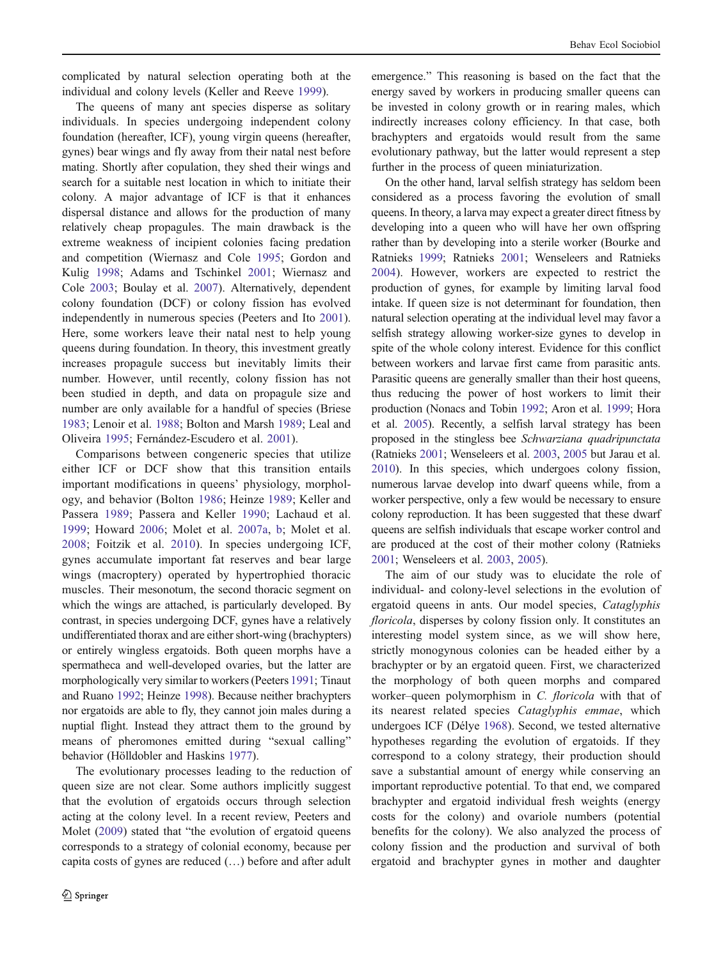complicated by natural selection operating both at the individual and colony levels (Keller and Reeve [1999](#page-9-0)).

The queens of many ant species disperse as solitary individuals. In species undergoing independent colony foundation (hereafter, ICF), young virgin queens (hereafter, gynes) bear wings and fly away from their natal nest before mating. Shortly after copulation, they shed their wings and search for a suitable nest location in which to initiate their colony. A major advantage of ICF is that it enhances dispersal distance and allows for the production of many relatively cheap propagules. The main drawback is the extreme weakness of incipient colonies facing predation and competition (Wiernasz and Cole [1995](#page-9-0); Gordon and Kulig [1998;](#page-9-0) Adams and Tschinkel [2001](#page-8-0); Wiernasz and Cole [2003](#page-9-0); Boulay et al. [2007\)](#page-8-0). Alternatively, dependent colony foundation (DCF) or colony fission has evolved independently in numerous species (Peeters and Ito [2001](#page-9-0)). Here, some workers leave their natal nest to help young queens during foundation. In theory, this investment greatly increases propagule success but inevitably limits their number. However, until recently, colony fission has not been studied in depth, and data on propagule size and number are only available for a handful of species (Briese [1983;](#page-8-0) Lenoir et al. [1988](#page-9-0); Bolton and Marsh [1989;](#page-8-0) Leal and Oliveira [1995;](#page-9-0) Fernández-Escudero et al. [2001](#page-9-0)).

Comparisons between congeneric species that utilize either ICF or DCF show that this transition entails important modifications in queens' physiology, morphology, and behavior (Bolton [1986;](#page-8-0) Heinze [1989](#page-9-0); Keller and Passera [1989;](#page-9-0) Passera and Keller [1990;](#page-9-0) Lachaud et al. [1999](#page-9-0); Howard [2006](#page-9-0); Molet et al. [2007a,](#page-9-0) [b;](#page-9-0) Molet et al. [2008](#page-9-0); Foitzik et al. [2010](#page-9-0)). In species undergoing ICF, gynes accumulate important fat reserves and bear large wings (macroptery) operated by hypertrophied thoracic muscles. Their mesonotum, the second thoracic segment on which the wings are attached, is particularly developed. By contrast, in species undergoing DCF, gynes have a relatively undifferentiated thorax and are either short-wing (brachypters) or entirely wingless ergatoids. Both queen morphs have a spermatheca and well-developed ovaries, but the latter are morphologically very similar to workers (Peeters [1991](#page-9-0); Tinaut and Ruano [1992;](#page-9-0) Heinze [1998](#page-9-0)). Because neither brachypters nor ergatoids are able to fly, they cannot join males during a nuptial flight. Instead they attract them to the ground by means of pheromones emitted during "sexual calling" behavior (Hölldobler and Haskins [1977\)](#page-9-0).

The evolutionary processes leading to the reduction of queen size are not clear. Some authors implicitly suggest that the evolution of ergatoids occurs through selection acting at the colony level. In a recent review, Peeters and Molet [\(2009](#page-9-0)) stated that "the evolution of ergatoid queens corresponds to a strategy of colonial economy, because per capita costs of gynes are reduced (…) before and after adult

emergence." This reasoning is based on the fact that the energy saved by workers in producing smaller queens can be invested in colony growth or in rearing males, which indirectly increases colony efficiency. In that case, both brachypters and ergatoids would result from the same evolutionary pathway, but the latter would represent a step further in the process of queen miniaturization.

On the other hand, larval selfish strategy has seldom been considered as a process favoring the evolution of small queens. In theory, a larva may expect a greater direct fitness by developing into a queen who will have her own offspring rather than by developing into a sterile worker (Bourke and Ratnieks [1999;](#page-8-0) Ratnieks [2001](#page-9-0); Wenseleers and Ratnieks [2004](#page-9-0)). However, workers are expected to restrict the production of gynes, for example by limiting larval food intake. If queen size is not determinant for foundation, then natural selection operating at the individual level may favor a selfish strategy allowing worker-size gynes to develop in spite of the whole colony interest. Evidence for this conflict between workers and larvae first came from parasitic ants. Parasitic queens are generally smaller than their host queens, thus reducing the power of host workers to limit their production (Nonacs and Tobin [1992;](#page-9-0) Aron et al. [1999](#page-8-0); Hora et al. [2005\)](#page-9-0). Recently, a selfish larval strategy has been proposed in the stingless bee Schwarziana quadripunctata (Ratnieks [2001;](#page-9-0) Wenseleers et al. [2003](#page-9-0), [2005](#page-9-0) but Jarau et al. [2010\)](#page-9-0). In this species, which undergoes colony fission, numerous larvae develop into dwarf queens while, from a worker perspective, only a few would be necessary to ensure colony reproduction. It has been suggested that these dwarf queens are selfish individuals that escape worker control and are produced at the cost of their mother colony (Ratnieks [2001;](#page-9-0) Wenseleers et al. [2003,](#page-9-0) [2005](#page-9-0)).

The aim of our study was to elucidate the role of individual- and colony-level selections in the evolution of ergatoid queens in ants. Our model species, Cataglyphis floricola, disperses by colony fission only. It constitutes an interesting model system since, as we will show here, strictly monogynous colonies can be headed either by a brachypter or by an ergatoid queen. First, we characterized the morphology of both queen morphs and compared worker–queen polymorphism in C. floricola with that of its nearest related species Cataglyphis emmae, which undergoes ICF (Délye [1968](#page-9-0)). Second, we tested alternative hypotheses regarding the evolution of ergatoids. If they correspond to a colony strategy, their production should save a substantial amount of energy while conserving an important reproductive potential. To that end, we compared brachypter and ergatoid individual fresh weights (energy costs for the colony) and ovariole numbers (potential benefits for the colony). We also analyzed the process of colony fission and the production and survival of both ergatoid and brachypter gynes in mother and daughter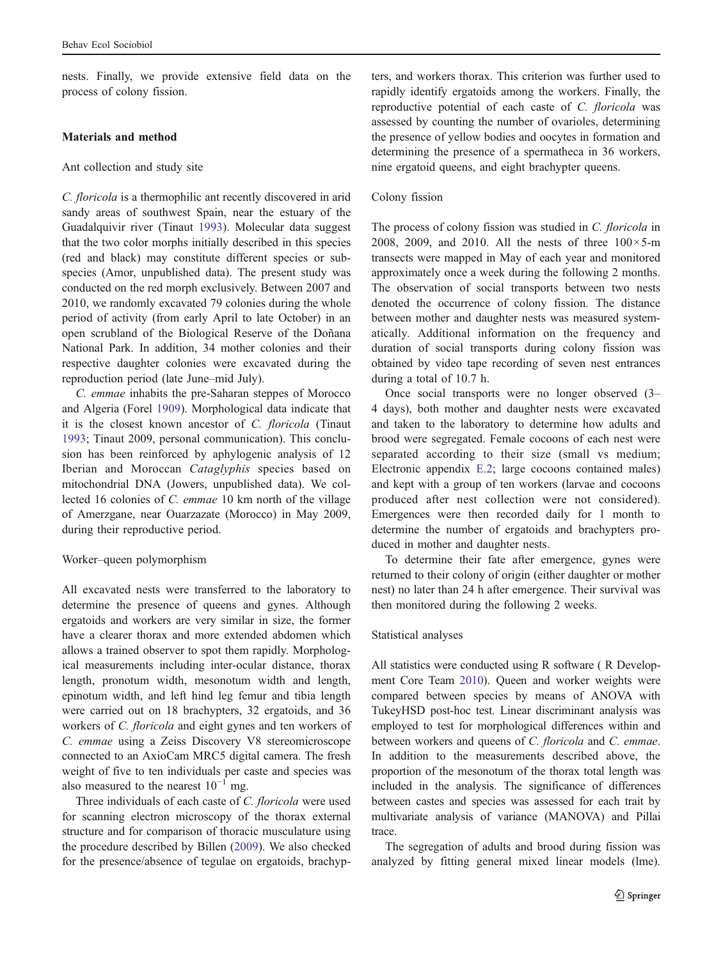nests. Finally, we provide extensive field data on the process of colony fission.

# Materials and method

## Ant collection and study site

C. floricola is a thermophilic ant recently discovered in arid sandy areas of southwest Spain, near the estuary of the Guadalquivir river (Tinaut [1993\)](#page-9-0). Molecular data suggest that the two color morphs initially described in this species (red and black) may constitute different species or subspecies (Amor, unpublished data). The present study was conducted on the red morph exclusively. Between 2007 and 2010, we randomly excavated 79 colonies during the whole period of activity (from early April to late October) in an open scrubland of the Biological Reserve of the Doñana National Park. In addition, 34 mother colonies and their respective daughter colonies were excavated during the reproduction period (late June–mid July).

C. emmae inhabits the pre-Saharan steppes of Morocco and Algeria (Forel [1909\)](#page-9-0). Morphological data indicate that it is the closest known ancestor of C. floricola (Tinaut [1993;](#page-9-0) Tinaut 2009, personal communication). This conclusion has been reinforced by aphylogenic analysis of 12 Iberian and Moroccan Cataglyphis species based on mitochondrial DNA (Jowers, unpublished data). We collected 16 colonies of C. emmae 10 km north of the village of Amerzgane, near Ouarzazate (Morocco) in May 2009, during their reproductive period.

## Worker–queen polymorphism

All excavated nests were transferred to the laboratory to determine the presence of queens and gynes. Although ergatoids and workers are very similar in size, the former have a clearer thorax and more extended abdomen which allows a trained observer to spot them rapidly. Morphological measurements including inter-ocular distance, thorax length, pronotum width, mesonotum width and length, epinotum width, and left hind leg femur and tibia length were carried out on 18 brachypters, 32 ergatoids, and 36 workers of C. floricola and eight gynes and ten workers of C. emmae using a Zeiss Discovery V8 stereomicroscope connected to an AxioCam MRC5 digital camera. The fresh weight of five to ten individuals per caste and species was also measured to the nearest  $10^{-1}$  mg.

Three individuals of each caste of C. floricola were used for scanning electron microscopy of the thorax external structure and for comparison of thoracic musculature using the procedure described by Billen ([2009\)](#page-8-0). We also checked for the presence/absence of tegulae on ergatoids, brachyp-

ters, and workers thorax. This criterion was further used to rapidly identify ergatoids among the workers. Finally, the reproductive potential of each caste of C. floricola was assessed by counting the number of ovarioles, determining the presence of yellow bodies and oocytes in formation and determining the presence of a spermatheca in 36 workers, nine ergatoid queens, and eight brachypter queens.

# Colony fission

The process of colony fission was studied in C. floricola in 2008, 2009, and 2010. All the nests of three  $100 \times 5$ -m transects were mapped in May of each year and monitored approximately once a week during the following 2 months. The observation of social transports between two nests denoted the occurrence of colony fission. The distance between mother and daughter nests was measured systematically. Additional information on the frequency and duration of social transports during colony fission was obtained by video tape recording of seven nest entrances during a total of 10.7 h.

Once social transports were no longer observed (3– 4 days), both mother and daughter nests were excavated and taken to the laboratory to determine how adults and brood were segregated. Female cocoons of each nest were separated according to their size (small vs medium; Electronic appendix E.2; large cocoons contained males) and kept with a group of ten workers (larvae and cocoons produced after nest collection were not considered). Emergences were then recorded daily for 1 month to determine the number of ergatoids and brachypters produced in mother and daughter nests.

To determine their fate after emergence, gynes were returned to their colony of origin (either daughter or mother nest) no later than 24 h after emergence. Their survival was then monitored during the following 2 weeks.

#### Statistical analyses

All statistics were conducted using R software ( R Development Core Team [2010](#page-9-0)). Queen and worker weights were compared between species by means of ANOVA with TukeyHSD post-hoc test. Linear discriminant analysis was employed to test for morphological differences within and between workers and queens of C. floricola and C. emmae. In addition to the measurements described above, the proportion of the mesonotum of the thorax total length was included in the analysis. The significance of differences between castes and species was assessed for each trait by multivariate analysis of variance (MANOVA) and Pillai trace.

The segregation of adults and brood during fission was analyzed by fitting general mixed linear models (lme).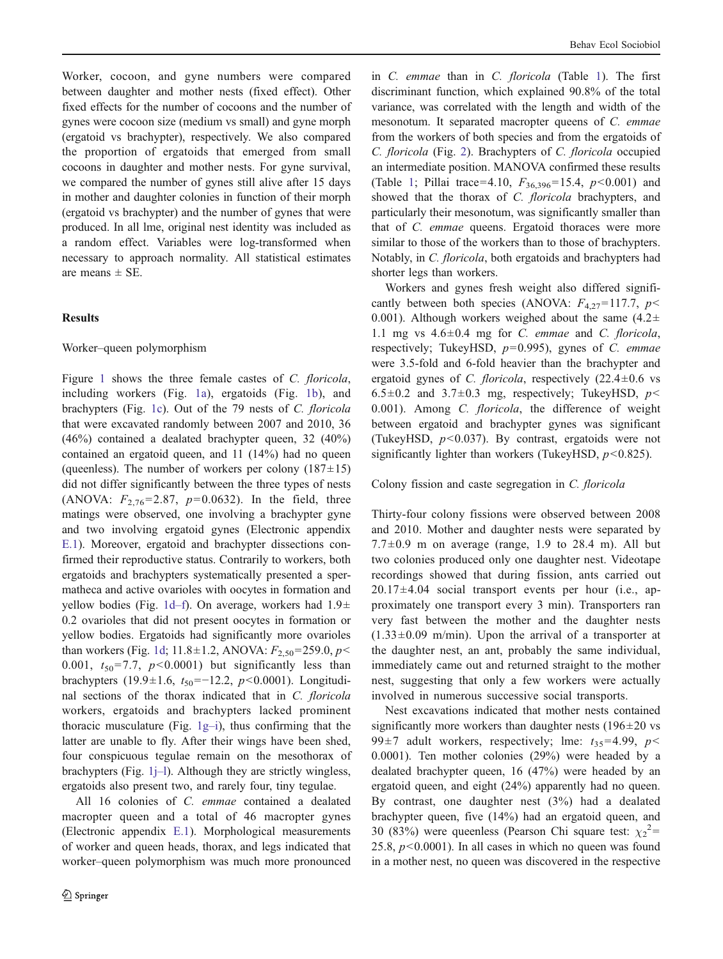Worker, cocoon, and gyne numbers were compared between daughter and mother nests (fixed effect). Other fixed effects for the number of cocoons and the number of gynes were cocoon size (medium vs small) and gyne morph (ergatoid vs brachypter), respectively. We also compared the proportion of ergatoids that emerged from small cocoons in daughter and mother nests. For gyne survival, we compared the number of gynes still alive after 15 days in mother and daughter colonies in function of their morph (ergatoid vs brachypter) and the number of gynes that were produced. In all lme, original nest identity was included as a random effect. Variables were log-transformed when necessary to approach normality. All statistical estimates are means  $\pm$  SE.

## **Results**

# Worker–queen polymorphism

Figure [1](#page-4-0) shows the three female castes of C. floricola, including workers (Fig. [1a](#page-4-0)), ergatoids (Fig. [1b](#page-4-0)), and brachypters (Fig. [1c\)](#page-4-0). Out of the 79 nests of C. floricola that were excavated randomly between 2007 and 2010, 36 (46%) contained a dealated brachypter queen, 32 (40%) contained an ergatoid queen, and 11 (14%) had no queen (queenless). The number of workers per colony  $(187\pm15)$ did not differ significantly between the three types of nests (ANOVA:  $F_{2,76} = 2.87$ ,  $p=0.0632$ ). In the field, three matings were observed, one involving a brachypter gyne and two involving ergatoid gynes (Electronic appendix E.1). Moreover, ergatoid and brachypter dissections confirmed their reproductive status. Contrarily to workers, both ergatoids and brachypters systematically presented a spermatheca and active ovarioles with oocytes in formation and yellow bodies (Fig. [1d](#page-4-0)–f). On average, workers had 1.9± 0.2 ovarioles that did not present oocytes in formation or yellow bodies. Ergatoids had significantly more ovarioles than workers (Fig. [1d](#page-4-0); 11.8±1.2, ANOVA:  $F_{2,50}$ =259.0, p< 0.001,  $t_{50}$ =7.7,  $p$ <0.0001) but significantly less than brachypters (19.9±1.6,  $t_{50}$ =-12.2, p<0.0001). Longitudinal sections of the thorax indicated that in C. floricola workers, ergatoids and brachypters lacked prominent thoracic musculature (Fig.  $1g-i$  $1g-i$ ), thus confirming that the latter are unable to fly. After their wings have been shed, four conspicuous tegulae remain on the mesothorax of brachypters (Fig. [1j](#page-4-0)–l). Although they are strictly wingless, ergatoids also present two, and rarely four, tiny tegulae.

All 16 colonies of C. emmae contained a dealated macropter queen and a total of 46 macropter gynes (Electronic appendix E.1). Morphological measurements of worker and queen heads, thorax, and legs indicated that worker–queen polymorphism was much more pronounced in C. emmae than in C. floricola (Table [1\)](#page-5-0). The first discriminant function, which explained 90.8% of the total variance, was correlated with the length and width of the mesonotum. It separated macropter queens of C. emmae from the workers of both species and from the ergatoids of C. floricola (Fig. [2\)](#page-5-0). Brachypters of C. floricola occupied an intermediate position. MANOVA confirmed these results (Table [1;](#page-5-0) Pillai trace=4.10,  $F_{36,396}$ =15.4,  $p$ <0.001) and showed that the thorax of C. *floricola* brachypters, and particularly their mesonotum, was significantly smaller than that of C. emmae queens. Ergatoid thoraces were more similar to those of the workers than to those of brachypters. Notably, in C. floricola, both ergatoids and brachypters had shorter legs than workers.

Workers and gynes fresh weight also differed significantly between both species (ANOVA:  $F_{4,27}$ =117.7,  $p$ < 0.001). Although workers weighed about the same  $(4.2\pm$ 1.1 mg vs  $4.6 \pm 0.4$  mg for *C. emmae* and *C. floricola*, respectively; TukeyHSD,  $p=0.995$ ), gynes of C. emmae were 3.5-fold and 6-fold heavier than the brachypter and ergatoid gynes of C. *floricola*, respectively  $(22.4 \pm 0.6 \text{ vs }$ 6.5 $\pm$ 0.2 and 3.7 $\pm$ 0.3 mg, respectively; TukeyHSD,  $p$ < 0.001). Among C. floricola, the difference of weight between ergatoid and brachypter gynes was significant (TukeyHSD,  $p<0.037$ ). By contrast, ergatoids were not significantly lighter than workers (TukeyHSD,  $p$ <0.825).

## Colony fission and caste segregation in C. floricola

Thirty-four colony fissions were observed between 2008 and 2010. Mother and daughter nests were separated by 7.7 $\pm$ 0.9 m on average (range, 1.9 to 28.4 m). All but two colonies produced only one daughter nest. Videotape recordings showed that during fission, ants carried out  $20.17\pm4.04$  social transport events per hour (i.e., approximately one transport every 3 min). Transporters ran very fast between the mother and the daughter nests  $(1.33\pm0.09 \text{ m/min})$ . Upon the arrival of a transporter at the daughter nest, an ant, probably the same individual, immediately came out and returned straight to the mother nest, suggesting that only a few workers were actually involved in numerous successive social transports.

Nest excavations indicated that mother nests contained significantly more workers than daughter nests  $(196 \pm 20 \text{ vs } 100 \text{ s})$ 99 $\pm$ 7 adult workers, respectively; lme:  $t_{35}$ =4.99, p< 0.0001). Ten mother colonies (29%) were headed by a dealated brachypter queen, 16 (47%) were headed by an ergatoid queen, and eight (24%) apparently had no queen. By contrast, one daughter nest (3%) had a dealated brachypter queen, five (14%) had an ergatoid queen, and 30 (83%) were queenless (Pearson Chi square test:  $\chi_2^2$  = 25.8,  $p < 0.0001$ ). In all cases in which no queen was found in a mother nest, no queen was discovered in the respective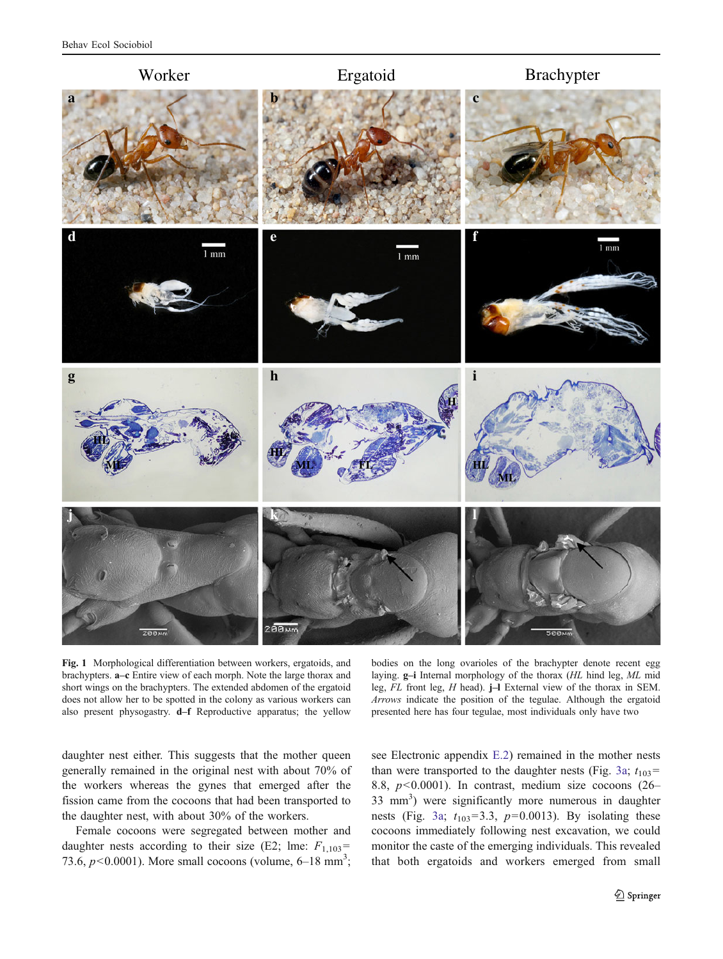

Fig. 1 Morphological differentiation between workers, ergatoids, and brachypters. a–c Entire view of each morph. Note the large thorax and short wings on the brachypters. The extended abdomen of the ergatoid does not allow her to be spotted in the colony as various workers can also present physogastry. d–f Reproductive apparatus; the yellow

bodies on the long ovarioles of the brachypter denote recent egg laying. g–i Internal morphology of the thorax (HL hind leg, ML mid leg, FL front leg, H head). j–l External view of the thorax in SEM. Arrows indicate the position of the tegulae. Although the ergatoid presented here has four tegulae, most individuals only have two

daughter nest either. This suggests that the mother queen generally remained in the original nest with about 70% of the workers whereas the gynes that emerged after the fission came from the cocoons that had been transported to the daughter nest, with about 30% of the workers.

<span id="page-4-0"></span>Female cocoons were segregated between mother and daughter nests according to their size (E2; lme:  $F_{1,103}$ = 73.6,  $p < 0.0001$ ). More small cocoons (volume, 6–18 mm<sup>3</sup>;

see Electronic appendix E.2) remained in the mother nests than were transported to the daughter nests (Fig. [3a;](#page-6-0)  $t_{103}$ = 8.8,  $p<0.0001$ ). In contrast, medium size cocoons (26– 33 mm<sup>3</sup> ) were significantly more numerous in daughter nests (Fig. [3a;](#page-6-0)  $t_{103}=3.3$ ,  $p=0.0013$ ). By isolating these cocoons immediately following nest excavation, we could monitor the caste of the emerging individuals. This revealed that both ergatoids and workers emerged from small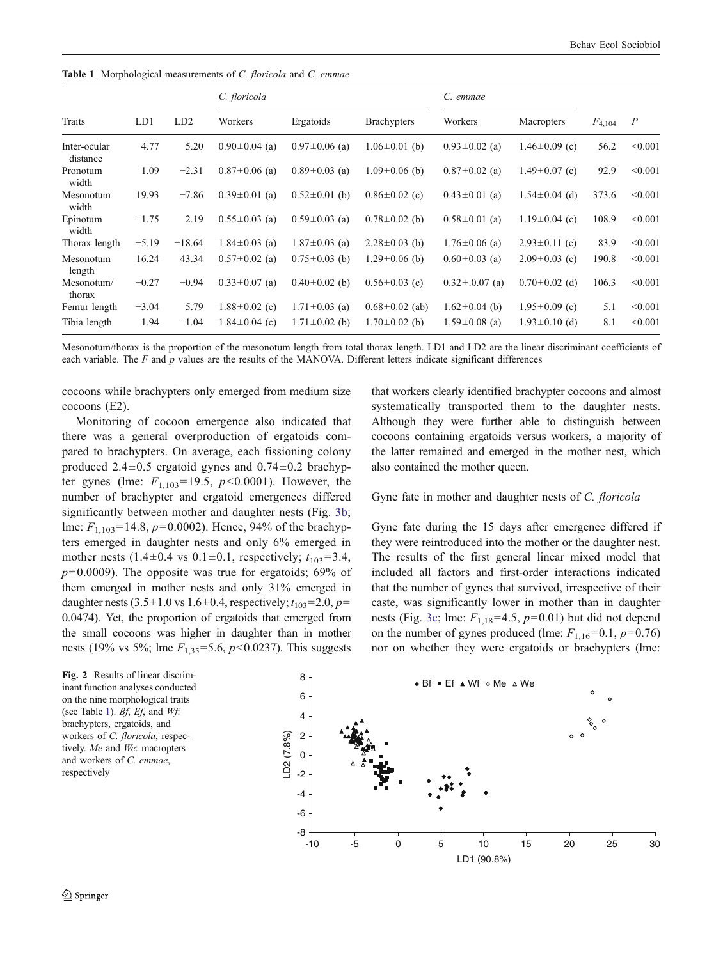Table 1 Morphological measurements of C. floricola and C. emmae

| Traits                   | LD1     | LD2      | C. floricola        |                     |                      | C. emmae            |                     |             |                |
|--------------------------|---------|----------|---------------------|---------------------|----------------------|---------------------|---------------------|-------------|----------------|
|                          |         |          | Workers             | Ergatoids           | <b>Brachypters</b>   | Workers             | <b>Macropters</b>   | $F_{4,104}$ | $\overline{P}$ |
| Inter-ocular<br>distance | 4.77    | 5.20     | $0.90 \pm 0.04$ (a) | $0.97 \pm 0.06$ (a) | $1.06 \pm 0.01$ (b)  | $0.93 \pm 0.02$ (a) | $1.46 \pm 0.09$ (c) | 56.2        | < 0.001        |
| Pronotum<br>width        | 1.09    | $-2.31$  | $0.87 \pm 0.06$ (a) | $0.89 \pm 0.03$ (a) | $1.09 \pm 0.06$ (b)  | $0.87 \pm 0.02$ (a) | $1.49 \pm 0.07$ (c) | 92.9        | < 0.001        |
| Mesonotum<br>width       | 19.93   | $-7.86$  | $0.39 \pm 0.01$ (a) | $0.52 \pm 0.01$ (b) | $0.86 \pm 0.02$ (c)  | $0.43 \pm 0.01$ (a) | $1.54 \pm 0.04$ (d) | 373.6       | < 0.001        |
| Epinotum<br>width        | $-1.75$ | 2.19     | $0.55 \pm 0.03$ (a) | $0.59 \pm 0.03$ (a) | $0.78 \pm 0.02$ (b)  | $0.58 \pm 0.01$ (a) | $1.19 \pm 0.04$ (c) | 108.9       | < 0.001        |
| Thorax length            | $-5.19$ | $-18.64$ | $1.84 \pm 0.03$ (a) | $1.87 \pm 0.03$ (a) | $2.28 \pm 0.03$ (b)  | $1.76 \pm 0.06$ (a) | $2.93 \pm 0.11$ (c) | 83.9        | < 0.001        |
| Mesonotum<br>length      | 16.24   | 43.34    | $0.57 \pm 0.02$ (a) | $0.75 \pm 0.03$ (b) | $1.29 \pm 0.06$ (b)  | $0.60 \pm 0.03$ (a) | $2.09 \pm 0.03$ (c) | 190.8       | < 0.001        |
| Mesonotum/<br>thorax     | $-0.27$ | $-0.94$  | $0.33 \pm 0.07$ (a) | $0.40 \pm 0.02$ (b) | $0.56 \pm 0.03$ (c)  | $0.32 \pm 0.07$ (a) | $0.70 \pm 0.02$ (d) | 106.3       | < 0.001        |
| Femur length             | $-3.04$ | 5.79     | $1.88 \pm 0.02$ (c) | $1.71 \pm 0.03$ (a) | $0.68 \pm 0.02$ (ab) | $1.62 \pm 0.04$ (b) | $1.95 \pm 0.09$ (c) | 5.1         | < 0.001        |
| Tibia length             | 1.94    | $-1.04$  | $1.84 \pm 0.04$ (c) | $1.71 \pm 0.02$ (b) | $1.70 \pm 0.02$ (b)  | $1.59 \pm 0.08$ (a) | $1.93 \pm 0.10$ (d) | 8.1         | < 0.001        |

Mesonotum/thorax is the proportion of the mesonotum length from total thorax length. LD1 and LD2 are the linear discriminant coefficients of each variable. The  $F$  and  $p$  values are the results of the MANOVA. Different letters indicate significant differences

cocoons while brachypters only emerged from medium size cocoons (E2).

Monitoring of cocoon emergence also indicated that there was a general overproduction of ergatoids compared to brachypters. On average, each fissioning colony produced  $2.4\pm0.5$  ergatoid gynes and  $0.74\pm0.2$  brachypter gynes (lme:  $F_{1,103}$ =19.5,  $p$ <0.0001). However, the number of brachypter and ergatoid emergences differed significantly between mother and daughter nests (Fig. [3b](#page-6-0); lme:  $F_{1,103}$ =14.8,  $p$ =0.0002). Hence, 94% of the brachypters emerged in daughter nests and only 6% emerged in mother nests (1.4±0.4 vs 0.1±0.1, respectively;  $t_{103} = 3.4$ ,  $p=0.0009$ ). The opposite was true for ergatoids; 69% of them emerged in mother nests and only 31% emerged in daughter nests  $(3.5\pm1.0 \text{ vs } 1.6\pm0.4, \text{ respectively}; t_{103}=2.0, p=$ 0.0474). Yet, the proportion of ergatoids that emerged from the small cocoons was higher in daughter than in mother nests (19% vs 5%; lme  $F_{1,35}$ =5.6,  $p$ <0.0237). This suggests

that workers clearly identified brachypter cocoons and almost systematically transported them to the daughter nests. Although they were further able to distinguish between cocoons containing ergatoids versus workers, a majority of the latter remained and emerged in the mother nest, which also contained the mother queen.

#### Gyne fate in mother and daughter nests of C. floricola

Gyne fate during the 15 days after emergence differed if they were reintroduced into the mother or the daughter nest. The results of the first general linear mixed model that included all factors and first-order interactions indicated that the number of gynes that survived, irrespective of their caste, was significantly lower in mother than in daughter nests (Fig. [3c;](#page-6-0) lme:  $F_{1,18}$ =4.5,  $p$ =0.01) but did not depend on the number of gynes produced (lme:  $F_{1,16}=0.1, p=0.76$ ) nor on whether they were ergatoids or brachypters (lme:

<span id="page-5-0"></span>inant function analyses conducted on the nine morphological traits (see Table [1\)](#page-5-0).  $Bf$ ,  $Ef$ , and  $Wf$ : brachypters, ergatoids, and workers of C. floricola, respectively. Me and We: macropters and workers of C. emmae, respectively

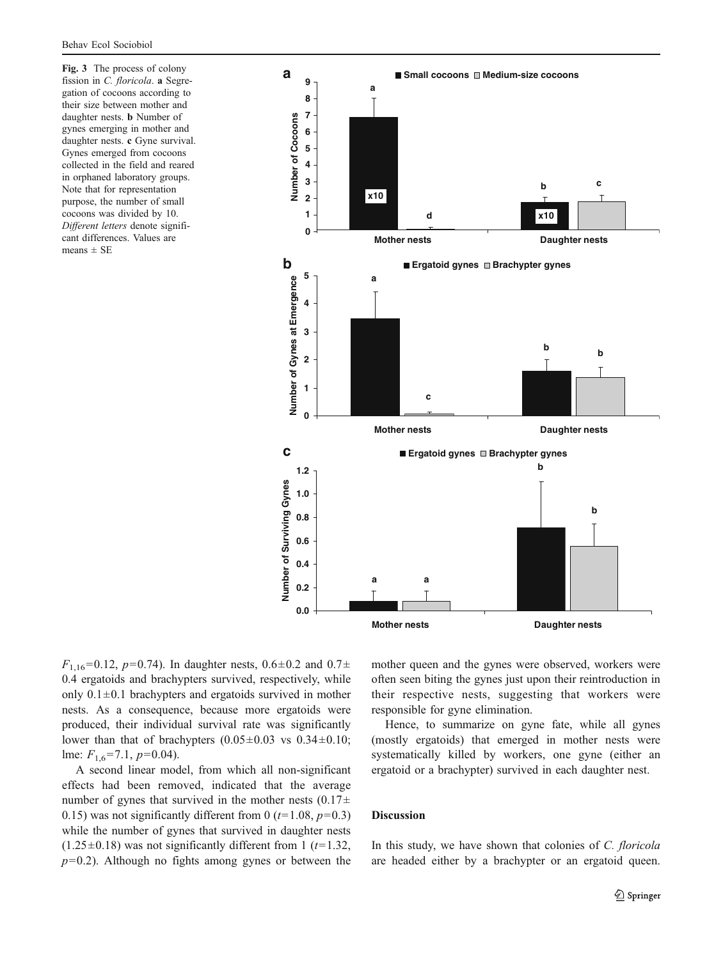Fig. 3 The process of colony fission in C. *floricola*. a Segregation of cocoons according to their size between mother and daughter nests. b Number of gynes emerging in mother and daughter nests. c Gyne survival. Gynes emerged from cocoons collected in the field and reared in orphaned laboratory groups. Note that for representation purpose, the number of small cocoons was divided by 10. Different letters denote significant differences. Values are means  $\pm$  SE



 $F_{1,16}=0.12$ ,  $p=0.74$ ). In daughter nests,  $0.6\pm0.2$  and  $0.7\pm$ 0.4 ergatoids and brachypters survived, respectively, while only  $0.1 \pm 0.1$  brachypters and ergatoids survived in mother nests. As a consequence, because more ergatoids were produced, their individual survival rate was significantly lower than that of brachypters  $(0.05\pm0.03$  vs  $0.34\pm0.10$ ; lme:  $F_{1,6}$ =7.1,  $p$ =0.04).

<span id="page-6-0"></span>A second linear model, from which all non-significant effects had been removed, indicated that the average number of gynes that survived in the mother nests  $(0.17\pm$ 0.15) was not significantly different from 0 ( $t=1.08$ ,  $p=0.3$ ) while the number of gynes that survived in daughter nests  $(1.25\pm0.18)$  was not significantly different from 1 (t=1.32,  $p=0.2$ ). Although no fights among gynes or between the mother queen and the gynes were observed, workers were often seen biting the gynes just upon their reintroduction in their respective nests, suggesting that workers were responsible for gyne elimination.

Hence, to summarize on gyne fate, while all gynes (mostly ergatoids) that emerged in mother nests were systematically killed by workers, one gyne (either an ergatoid or a brachypter) survived in each daughter nest.

# Discussion

In this study, we have shown that colonies of C. floricola are headed either by a brachypter or an ergatoid queen.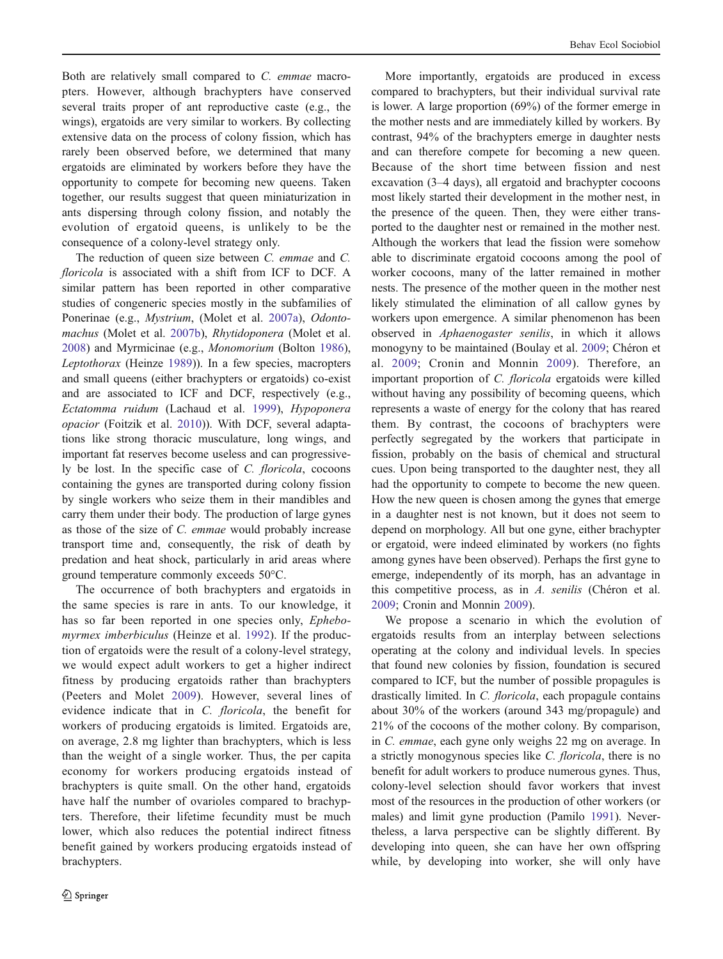Both are relatively small compared to C. emmae macropters. However, although brachypters have conserved several traits proper of ant reproductive caste (e.g., the wings), ergatoids are very similar to workers. By collecting extensive data on the process of colony fission, which has rarely been observed before, we determined that many ergatoids are eliminated by workers before they have the opportunity to compete for becoming new queens. Taken together, our results suggest that queen miniaturization in ants dispersing through colony fission, and notably the evolution of ergatoid queens, is unlikely to be the consequence of a colony-level strategy only.

The reduction of queen size between C. emmae and C. floricola is associated with a shift from ICF to DCF. A similar pattern has been reported in other comparative studies of congeneric species mostly in the subfamilies of Ponerinae (e.g., Mystrium, (Molet et al. [2007a\)](#page-9-0), Odontomachus (Molet et al. [2007b](#page-9-0)), Rhytidoponera (Molet et al. [2008\)](#page-9-0) and Myrmicinae (e.g., Monomorium (Bolton [1986](#page-8-0)), Leptothorax (Heinze [1989](#page-9-0))). In a few species, macropters and small queens (either brachypters or ergatoids) co-exist and are associated to ICF and DCF, respectively (e.g., Ectatomma ruidum (Lachaud et al. [1999\)](#page-9-0), Hypoponera opacior (Foitzik et al. [2010](#page-9-0))). With DCF, several adaptations like strong thoracic musculature, long wings, and important fat reserves become useless and can progressively be lost. In the specific case of C. floricola, cocoons containing the gynes are transported during colony fission by single workers who seize them in their mandibles and carry them under their body. The production of large gynes as those of the size of C. emmae would probably increase transport time and, consequently, the risk of death by predation and heat shock, particularly in arid areas where ground temperature commonly exceeds 50°C.

The occurrence of both brachypters and ergatoids in the same species is rare in ants. To our knowledge, it has so far been reported in one species only, Ephebomyrmex imberbiculus (Heinze et al. [1992](#page-9-0)). If the production of ergatoids were the result of a colony-level strategy, we would expect adult workers to get a higher indirect fitness by producing ergatoids rather than brachypters (Peeters and Molet [2009](#page-9-0)). However, several lines of evidence indicate that in C. floricola, the benefit for workers of producing ergatoids is limited. Ergatoids are, on average, 2.8 mg lighter than brachypters, which is less than the weight of a single worker. Thus, the per capita economy for workers producing ergatoids instead of brachypters is quite small. On the other hand, ergatoids have half the number of ovarioles compared to brachypters. Therefore, their lifetime fecundity must be much lower, which also reduces the potential indirect fitness benefit gained by workers producing ergatoids instead of brachypters.

More importantly, ergatoids are produced in excess compared to brachypters, but their individual survival rate is lower. A large proportion (69%) of the former emerge in the mother nests and are immediately killed by workers. By contrast, 94% of the brachypters emerge in daughter nests and can therefore compete for becoming a new queen. Because of the short time between fission and nest excavation (3–4 days), all ergatoid and brachypter cocoons most likely started their development in the mother nest, in the presence of the queen. Then, they were either transported to the daughter nest or remained in the mother nest. Although the workers that lead the fission were somehow able to discriminate ergatoid cocoons among the pool of worker cocoons, many of the latter remained in mother nests. The presence of the mother queen in the mother nest likely stimulated the elimination of all callow gynes by workers upon emergence. A similar phenomenon has been observed in Aphaenogaster senilis, in which it allows monogyny to be maintained (Boulay et al. [2009](#page-8-0); Chéron et al. [2009](#page-8-0); Cronin and Monnin [2009](#page-8-0)). Therefore, an important proportion of C. floricola ergatoids were killed without having any possibility of becoming queens, which represents a waste of energy for the colony that has reared them. By contrast, the cocoons of brachypters were perfectly segregated by the workers that participate in fission, probably on the basis of chemical and structural cues. Upon being transported to the daughter nest, they all had the opportunity to compete to become the new queen. How the new queen is chosen among the gynes that emerge in a daughter nest is not known, but it does not seem to depend on morphology. All but one gyne, either brachypter or ergatoid, were indeed eliminated by workers (no fights among gynes have been observed). Perhaps the first gyne to emerge, independently of its morph, has an advantage in this competitive process, as in A. senilis (Chéron et al. [2009](#page-8-0); Cronin and Monnin [2009](#page-8-0)).

We propose a scenario in which the evolution of ergatoids results from an interplay between selections operating at the colony and individual levels. In species that found new colonies by fission, foundation is secured compared to ICF, but the number of possible propagules is drastically limited. In C. floricola, each propagule contains about 30% of the workers (around 343 mg/propagule) and 21% of the cocoons of the mother colony. By comparison, in C. emmae, each gyne only weighs 22 mg on average. In a strictly monogynous species like C. floricola, there is no benefit for adult workers to produce numerous gynes. Thus, colony-level selection should favor workers that invest most of the resources in the production of other workers (or males) and limit gyne production (Pamilo [1991\)](#page-9-0). Nevertheless, a larva perspective can be slightly different. By developing into queen, she can have her own offspring while, by developing into worker, she will only have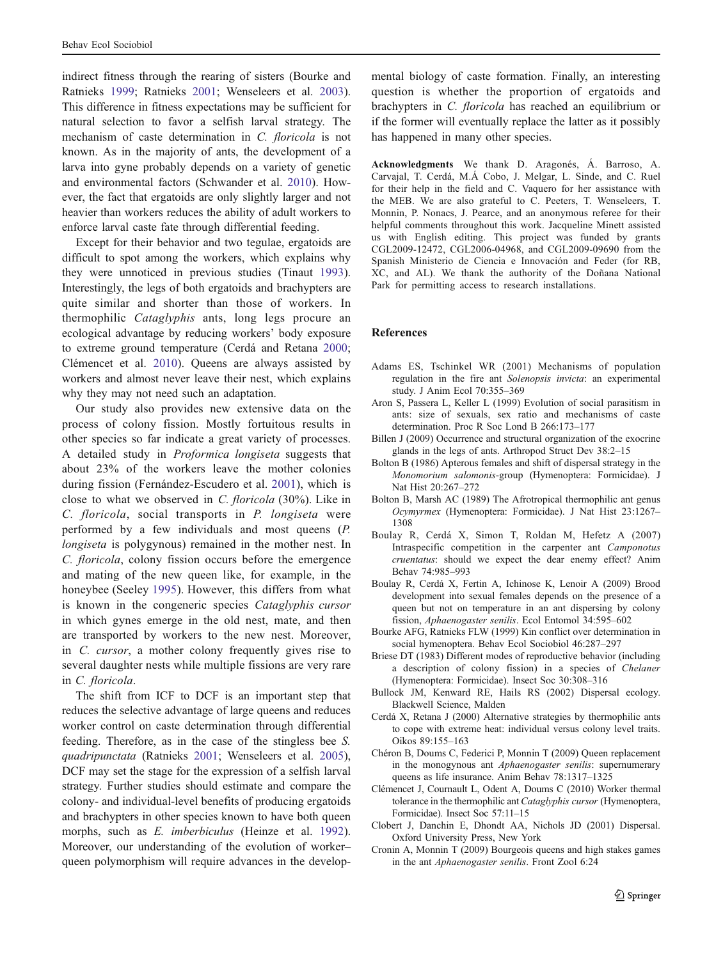indirect fitness through the rearing of sisters (Bourke and Ratnieks [1999;](#page-8-0) Ratnieks [2001;](#page-9-0) Wenseleers et al. [2003](#page-9-0)). This difference in fitness expectations may be sufficient for natural selection to favor a selfish larval strategy. The mechanism of caste determination in C. floricola is not known. As in the majority of ants, the development of a larva into gyne probably depends on a variety of genetic and environmental factors (Schwander et al. [2010\)](#page-9-0). However, the fact that ergatoids are only slightly larger and not heavier than workers reduces the ability of adult workers to enforce larval caste fate through differential feeding.

Except for their behavior and two tegulae, ergatoids are difficult to spot among the workers, which explains why they were unnoticed in previous studies (Tinaut [1993](#page-9-0)). Interestingly, the legs of both ergatoids and brachypters are quite similar and shorter than those of workers. In thermophilic Cataglyphis ants, long legs procure an ecological advantage by reducing workers' body exposure to extreme ground temperature (Cerdá and Retana [2000](#page-8-0); Clémencet et al. [2010](#page-8-0)). Queens are always assisted by workers and almost never leave their nest, which explains why they may not need such an adaptation.

Our study also provides new extensive data on the process of colony fission. Mostly fortuitous results in other species so far indicate a great variety of processes. A detailed study in Proformica longiseta suggests that about 23% of the workers leave the mother colonies during fission (Fernández-Escudero et al. [2001](#page-9-0)), which is close to what we observed in C. floricola (30%). Like in C. floricola, social transports in P. longiseta were performed by a few individuals and most queens (P. longiseta is polygynous) remained in the mother nest. In C. floricola, colony fission occurs before the emergence and mating of the new queen like, for example, in the honeybee (Seeley [1995\)](#page-9-0). However, this differs from what is known in the congeneric species Cataglyphis cursor in which gynes emerge in the old nest, mate, and then are transported by workers to the new nest. Moreover, in C. cursor, a mother colony frequently gives rise to several daughter nests while multiple fissions are very rare in C. floricola.

<span id="page-8-0"></span>The shift from ICF to DCF is an important step that reduces the selective advantage of large queens and reduces worker control on caste determination through differential feeding. Therefore, as in the case of the stingless bee S. quadripunctata (Ratnieks [2001;](#page-9-0) Wenseleers et al. [2005](#page-9-0)), DCF may set the stage for the expression of a selfish larval strategy. Further studies should estimate and compare the colony- and individual-level benefits of producing ergatoids and brachypters in other species known to have both queen morphs, such as E. imberbiculus (Heinze et al. [1992](#page-9-0)). Moreover, our understanding of the evolution of worker– queen polymorphism will require advances in the develop-

mental biology of caste formation. Finally, an interesting question is whether the proportion of ergatoids and brachypters in C. floricola has reached an equilibrium or if the former will eventually replace the latter as it possibly has happened in many other species.

Acknowledgments We thank D. Aragonés, Á. Barroso, A. Carvajal, T. Cerdá, M.Á Cobo, J. Melgar, L. Sinde, and C. Ruel for their help in the field and C. Vaquero for her assistance with the MEB. We are also grateful to C. Peeters, T. Wenseleers, T. Monnin, P. Nonacs, J. Pearce, and an anonymous referee for their helpful comments throughout this work. Jacqueline Minett assisted us with English editing. This project was funded by grants CGL2009-12472, CGL2006-04968, and CGL2009-09690 from the Spanish Ministerio de Ciencia e Innovación and Feder (for RB, XC, and AL). We thank the authority of the Doñana National Park for permitting access to research installations.

#### References

- Adams ES, Tschinkel WR (2001) Mechanisms of population regulation in the fire ant Solenopsis invicta: an experimental study. J Anim Ecol 70:355–369
- Aron S, Passera L, Keller L (1999) Evolution of social parasitism in ants: size of sexuals, sex ratio and mechanisms of caste determination. Proc R Soc Lond B 266:173–177
- Billen J (2009) Occurrence and structural organization of the exocrine glands in the legs of ants. Arthropod Struct Dev 38:2–15
- Bolton B (1986) Apterous females and shift of dispersal strategy in the Monomorium salomonis-group (Hymenoptera: Formicidae). J Nat Hist 20:267–272
- Bolton B, Marsh AC (1989) The Afrotropical thermophilic ant genus Ocymyrmex (Hymenoptera: Formicidae). J Nat Hist 23:1267– 1308
- Boulay R, Cerdá X, Simon T, Roldan M, Hefetz A (2007) Intraspecific competition in the carpenter ant Camponotus cruentatus: should we expect the dear enemy effect? Anim Behav 74:985–993
- Boulay R, Cerdá X, Fertin A, Ichinose K, Lenoir A (2009) Brood development into sexual females depends on the presence of a queen but not on temperature in an ant dispersing by colony fission, Aphaenogaster senilis. Ecol Entomol 34:595–602
- Bourke AFG, Ratnieks FLW (1999) Kin conflict over determination in social hymenoptera. Behav Ecol Sociobiol 46:287–297
- Briese DT (1983) Different modes of reproductive behavior (including a description of colony fission) in a species of Chelaner (Hymenoptera: Formicidae). Insect Soc 30:308–316
- Bullock JM, Kenward RE, Hails RS (2002) Dispersal ecology. Blackwell Science, Malden
- Cerdá X, Retana J (2000) Alternative strategies by thermophilic ants to cope with extreme heat: individual versus colony level traits. Oikos 89:155–163
- Chéron B, Doums C, Federici P, Monnin T (2009) Queen replacement in the monogynous ant *Aphaenogaster senilis*: supernumerary queens as life insurance. Anim Behav 78:1317–1325
- Clémencet J, Cournault L, Odent A, Doums C (2010) Worker thermal tolerance in the thermophilic ant Cataglyphis cursor (Hymenoptera, Formicidae). Insect Soc 57:11–15
- Clobert J, Danchin E, Dhondt AA, Nichols JD (2001) Dispersal. Oxford University Press, New York
- Cronin A, Monnin T (2009) Bourgeois queens and high stakes games in the ant Aphaenogaster senilis. Front Zool 6:24